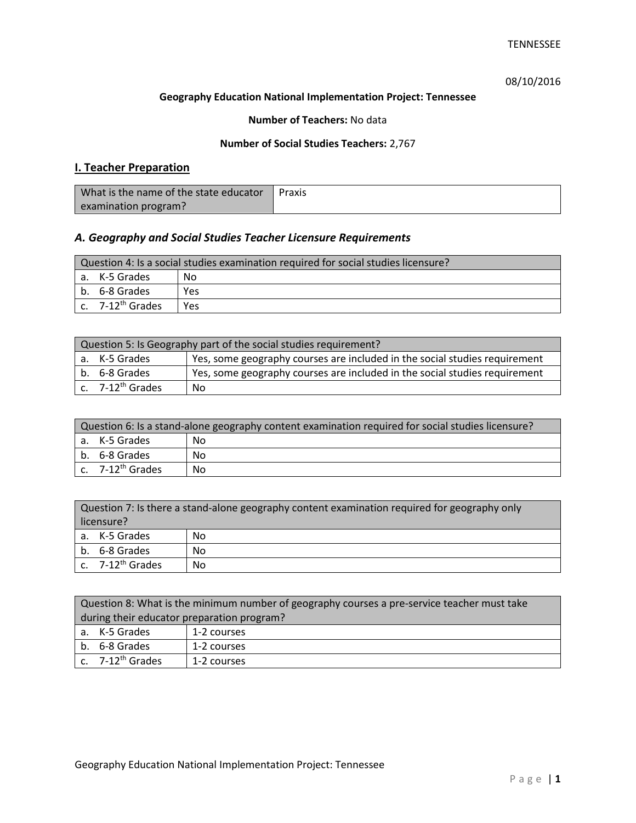# 08/10/2016

## **Geography Education National Implementation Project: Tennessee**

## **Number of Teachers:** No data

## **Number of Social Studies Teachers:** 2,767

# **I. Teacher Preparation**

| What is the name of the state educator | Praxis |
|----------------------------------------|--------|
| examination program?                   |        |

# *A. Geography and Social Studies Teacher Licensure Requirements*

| Question 4: Is a social studies examination required for social studies licensure? |     |  |
|------------------------------------------------------------------------------------|-----|--|
| a. K-5 Grades                                                                      | No  |  |
| l b. 6-8 Grades                                                                    | Yes |  |
| $\lfloor$ c. $\,$ 7-12 <sup>th</sup> Grades                                        | Yes |  |

| Question 5: Is Geography part of the social studies requirement? |                                                                            |  |
|------------------------------------------------------------------|----------------------------------------------------------------------------|--|
| a. K-5 Grades                                                    | Yes, some geography courses are included in the social studies requirement |  |
| b. 6-8 Grades                                                    | Yes, some geography courses are included in the social studies requirement |  |
| c. 7-12 <sup>th</sup> Grades                                     | No                                                                         |  |

| Question 6: Is a stand-alone geography content examination required for social studies licensure? |    |  |
|---------------------------------------------------------------------------------------------------|----|--|
| a. K-5 Grades                                                                                     | No |  |
| b. 6-8 Grades                                                                                     | Nο |  |
| c. $7-12^{th}$ Grades                                                                             | No |  |

| Question 7: Is there a stand-alone geography content examination required for geography only<br>licensure? |    |  |
|------------------------------------------------------------------------------------------------------------|----|--|
| a. K-5 Grades                                                                                              | No |  |
| b. 6-8 Grades                                                                                              | No |  |
| c. $7-12^{th}$ Grades                                                                                      | No |  |

| Question 8: What is the minimum number of geography courses a pre-service teacher must take |             |  |
|---------------------------------------------------------------------------------------------|-------------|--|
| during their educator preparation program?                                                  |             |  |
| a. K-5 Grades                                                                               | 1-2 courses |  |
| b. 6-8 Grades<br>1-2 courses                                                                |             |  |
| c. $7-12^{th}$ Grades                                                                       | 1-2 courses |  |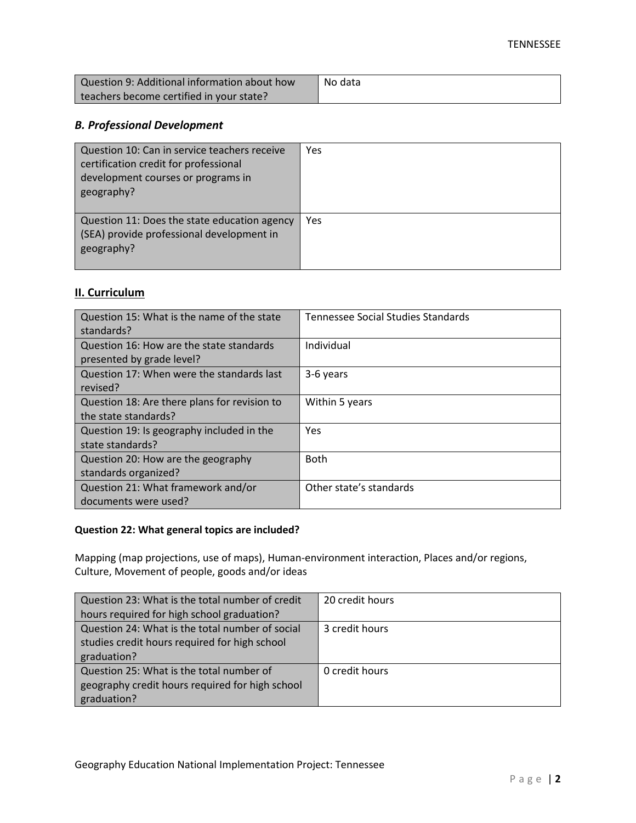| Question 9: Additional information about how | No data |
|----------------------------------------------|---------|
| teachers become certified in your state?     |         |

# *B. Professional Development*

| Question 10: Can in service teachers receive<br>certification credit for professional<br>development courses or programs in<br>geography? | Yes |
|-------------------------------------------------------------------------------------------------------------------------------------------|-----|
| Question 11: Does the state education agency<br>(SEA) provide professional development in<br>geography?                                   | Yes |

# **II. Curriculum**

| Question 15: What is the name of the state<br>standards?              | <b>Tennessee Social Studies Standards</b> |
|-----------------------------------------------------------------------|-------------------------------------------|
| Question 16: How are the state standards<br>presented by grade level? | Individual                                |
| Question 17: When were the standards last<br>revised?                 | 3-6 years                                 |
| Question 18: Are there plans for revision to<br>the state standards?  | Within 5 years                            |
| Question 19: Is geography included in the<br>state standards?         | Yes                                       |
| Question 20: How are the geography<br>standards organized?            | <b>Both</b>                               |
| Question 21: What framework and/or<br>documents were used?            | Other state's standards                   |

## **Question 22: What general topics are included?**

Mapping (map projections, use of maps), Human-environment interaction, Places and/or regions, Culture, Movement of people, goods and/or ideas

| Question 23: What is the total number of credit | 20 credit hours |
|-------------------------------------------------|-----------------|
| hours required for high school graduation?      |                 |
| Question 24: What is the total number of social | 3 credit hours  |
| studies credit hours required for high school   |                 |
| graduation?                                     |                 |
| Question 25: What is the total number of        | 0 credit hours  |
| geography credit hours required for high school |                 |
| graduation?                                     |                 |